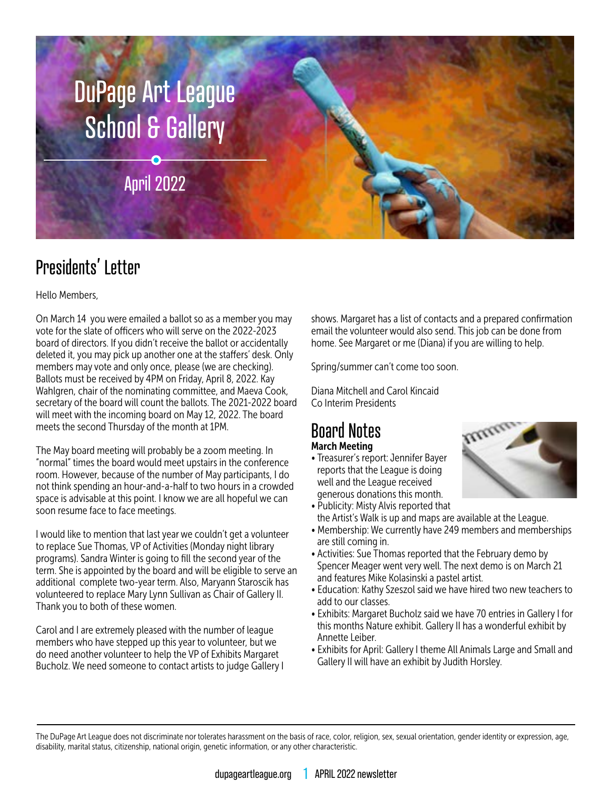

## Presidents' Letter

#### Hello Members,

On March 14 you were emailed a ballot so as a member you may vote for the slate of officers who will serve on the 2022-2023 board of directors. If you didn't receive the ballot or accidentally deleted it, you may pick up another one at the staffers' desk. Only members may vote and only once, please (we are checking). Ballots must be received by 4PM on Friday, April 8, 2022. Kay Wahlgren, chair of the nominating committee, and Maeva Cook, secretary of the board will count the ballots. The 2021-2022 board will meet with the incoming board on May 12, 2022. The board meets the second Thursday of the month at 1PM.

The May board meeting will probably be a zoom meeting. In "normal" times the board would meet upstairs in the conference room. However, because of the number of May participants, I do not think spending an hour-and-a-half to two hours in a crowded space is advisable at this point. I know we are all hopeful we can soon resume face to face meetings.

I would like to mention that last year we couldn't get a volunteer to replace Sue Thomas, VP of Activities (Monday night library programs). Sandra Winter is going to fill the second year of the term. She is appointed by the board and will be eligible to serve an additional complete two-year term. Also, Maryann Staroscik has volunteered to replace Mary Lynn Sullivan as Chair of Gallery II. Thank you to both of these women.

Carol and I are extremely pleased with the number of league members who have stepped up this year to volunteer, but we do need another volunteer to help the VP of Exhibits Margaret Bucholz. We need someone to contact artists to judge Gallery I shows. Margaret has a list of contacts and a prepared confirmation email the volunteer would also send. This job can be done from home. See Margaret or me (Diana) if you are willing to help.

Spring/summer can't come too soon.

Diana Mitchell and Carol Kincaid Co Interim Presidents

### Board Notes March Meeting

• Treasurer's report: Jennifer Bayer reports that the League is doing well and the League received generous donations this month.



- Publicity: Misty Alvis reported that the Artist's Walk is up and maps are available at the League.
- Membership: We currently have 249 members and memberships are still coming in.
- Activities: Sue Thomas reported that the February demo by Spencer Meager went very well. The next demo is on March 21 and features Mike Kolasinski a pastel artist.
- Education: Kathy Szeszol said we have hired two new teachers to add to our classes.
- Exhibits: Margaret Bucholz said we have 70 entries in Gallery I for this months Nature exhibit. Gallery II has a wonderful exhibit by Annette Leiber.
- Exhibits for April: Gallery I theme All Animals Large and Small and Gallery II will have an exhibit by Judith Horsley.

The DuPage Art League does not discriminate nor tolerates harassment on the basis of race, color, religion, sex, sexual orientation, gender identity or expression, age, disability, marital status, citizenship, national origin, genetic information, or any other characteristic.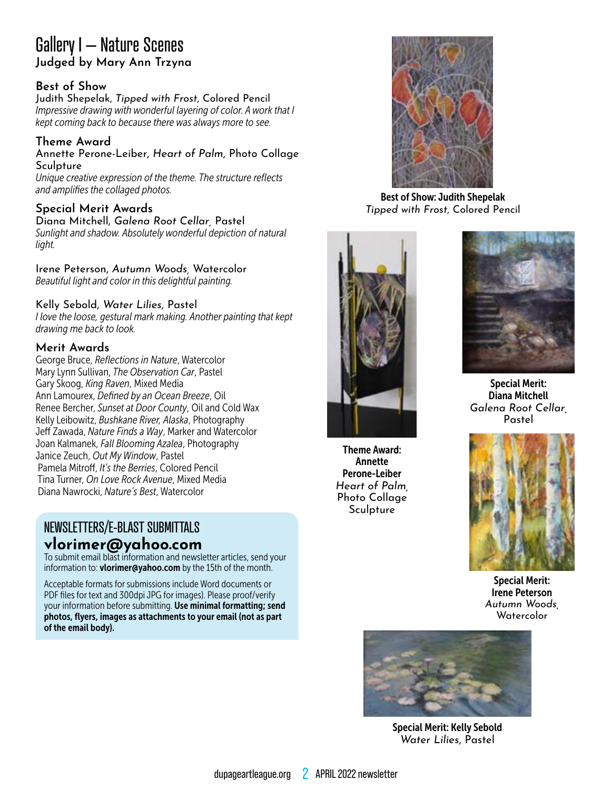## Gallery I – Nature Scenes **Judged by Mary Ann Trzyna**

#### **Best of Show**

Judith Shepelak, *Tipped with Frost*, Colored Pencil *Impressive drawing with wonderful layering of color. A work that I kept coming back to because there was always more to see.*

#### **Theme Award**

Annette Perone-Leiber, *Heart of Palm*, Photo Collage **Sculpture** 

*Unique creative expression of the theme. The structure reflects and amplifies the collaged photos.*

#### **Special Merit Awards**

Diana Mitchell, *Galena Root Cellar,* Pastel *Sunlight and shadow. Absolutely wonderful depiction of natural light.*

Irene Peterson, *Autumn Woods,* Watercolor *Beautiful light and color in this delightful painting.*

#### Kelly Sebold, *Water Lilies*, Pastel

*I love the loose, gestural mark making. Another painting that kept drawing me back to look.*

#### **Merit Awards**

George Bruce, *Reflections in Nature*, Watercolor Mary Lynn Sullivan, *The Observation Car*, Pastel Gary Skoog, *King Raven*, Mixed Media Ann Lamourex, *Defined by an Ocean Breeze*, Oil Renee Bercher, *Sunset at Door County*, Oil and Cold Wax Kelly Leibowitz, *Bushkane River, Alaska*, Photography Jeff Zawada, *Nature Finds a Way*, Marker and Watercolor Joan Kalmanek, *Fall Blooming Azalea*, Photography Janice Zeuch, *Out My Window*, Pastel Pamela Mitroff, *It's the Berries*, Colored Pencil Tina Turner, *On Love Rock Avenue*, Mixed Media Diana Nawrocki, *Nature's Best*, Watercolor

## NEWSLETTERS/E-BLAST SUBMITTALS **vlorimer@yahoo.com**

To submit email blast information and newsletter articles, send your information to: vlorimer@yahoo.com by the 15th of the month.

Acceptable formats for submissions include Word documents or PDF files for text and 300dpi JPG for images). Please proof/verify your information before submitting. Use minimal formatting; send photos, flyers, images as attachments to your email (not as part of the email body).



Best of Show: Judith Shepelak *Tipped with Frost*, Colored Pencil



Theme Award: Annette Perone-Leiber *Heart of Palm,*  Photo Collage Sculpture



Special Merit: Diana Mitchell *Galena Root Cellar,* Pastel



Special Merit: Irene Peterson *Autumn Woods,* Watercolor



Special Merit: Kelly Sebold *Water Lilies*, Pastel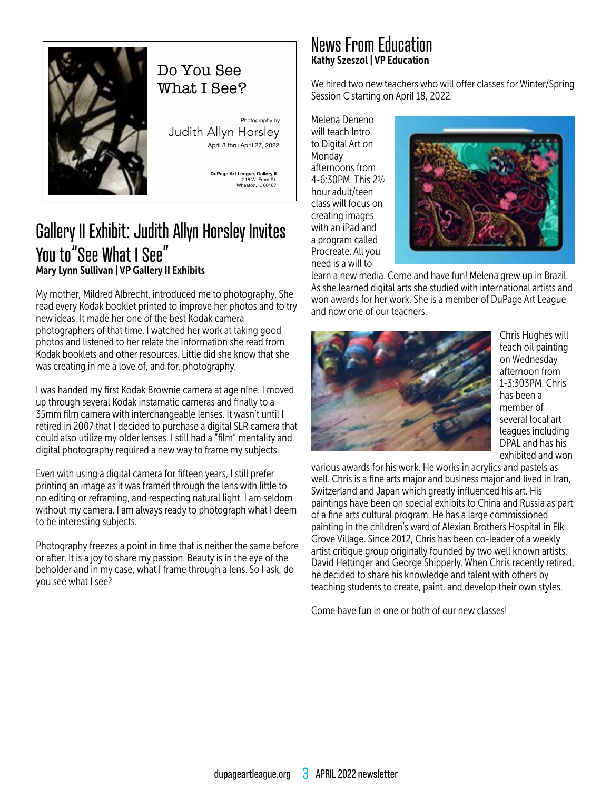

## Do You See What I See?

Photography by Judith Allyn Horsley April 3 thru April 27, 2022

> **DuPage Art League, Gallery II** 218 W. Front St. Wheaton, IL 60187

## Gallery II Exhibit: Judith Allyn Horsley Invites You to"See What I See" Mary Lynn Sullivan | VP Gallery II Exhibits

My mother, Mildred Albrecht, introduced me to photography. She read every Kodak booklet printed to improve her photos and to try new ideas. It made her one of the best Kodak camera photographers of that time. I watched her work at taking good photos and listened to her relate the information she read from Kodak booklets and other resources. Little did she know that she was creating in me a love of, and for, photography.

I was handed my first Kodak Brownie camera at age nine. I moved up through several Kodak instamatic cameras and finally to a 35mm film camera with interchangeable lenses. It wasn't until I retired in 2007 that I decided to purchase a digital SLR camera that could also utilize my older lenses. I still had a "film" mentality and digital photography required a new way to frame my subjects.

Even with using a digital camera for fifteen years, I still prefer printing an image as it was framed through the lens with little to no editing or reframing, and respecting natural light. I am seldom without my camera. I am always ready to photograph what I deem to be interesting subjects.

Photography freezes a point in time that is neither the same before or after. It is a joy to share my passion. Beauty is in the eye of the beholder and in my case, what I frame through a lens. So I ask, do you see what I see?

## News From Education Kathy Szeszol | VP Education

We hired two new teachers who will offer classes for Winter/Spring Session C starting on April 18, 2022.

Melena Deneno will teach Intro to Digital Art on Monday afternoons from 4-6:30PM. This 2½ hour adult/teen class will focus on creating images with an iPad and a program called Procreate. All you need is a will to



learn a new media. Come and have fun! Melena grew up in Brazil. As she learned digital arts she studied with international artists and won awards for her work. She is a member of DuPage Art League and now one of our teachers.



Chris Hughes will teach oil painting on Wednesday afternoon from 1-3:303PM. Chris has been a member of several local art leagues including DPAL and has his exhibited and won

various awards for his work. He works in acrylics and pastels as well. Chris is a fine arts major and business major and lived in Iran, Switzerland and Japan which greatly influenced his art. His paintings have been on special exhibits to China and Russia as part of a fine arts cultural program. He has a large commissioned painting in the children's ward of Alexian Brothers Hospital in Elk Grove Village. Since 2012, Chris has been co-leader of a weekly artist critique group originally founded by two well known artists, David Hettinger and George Shipperly. When Chris recently retired, he decided to share his knowledge and talent with others by teaching students to create, paint, and develop their own styles.

Come have fun in one or both of our new classes!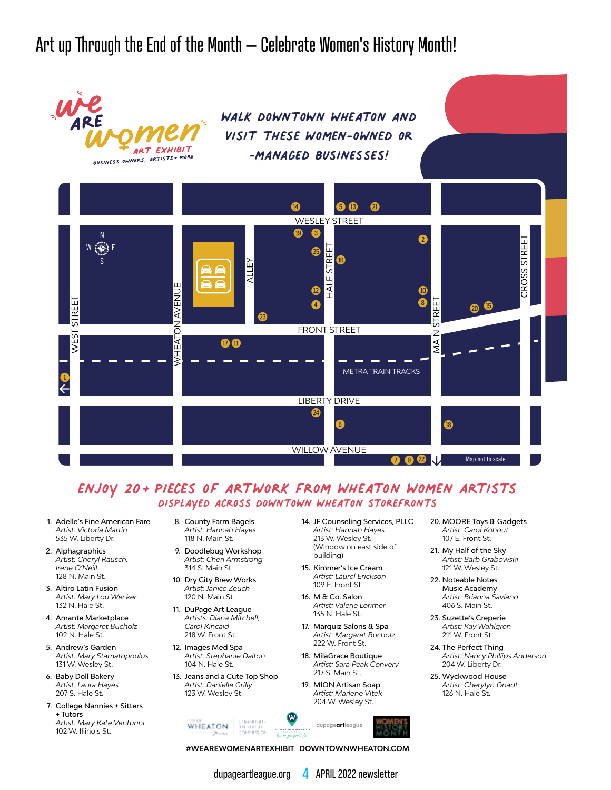Art up Through the End of the Month – Celebrate Women's History Month!



### enjoy 20+pieces of artwork from wheaton women artists displayed across downtown wheaton storefronts

- 1. Adelle's Fine American Fare *Artist: Victoria Martin* 535 W. Liberty Dr.
- 2. Alphagraphics *Artist: Cheryl Rausch, Irene O'Neill* 128 N. Main St.
- 3. Altiro Latin Fusion *Artist: Mary Lou Wecker* 132 N. Hale St.
- 4. Amante Marketplace *Artist: Margaret Bucholz* 102 N. Hale St.
- 5. Andrew's Garden *Artist: Mary Stamatopoulos* 131 W. Wesley St.
- 6. Baby Doll Bakery *Artist: Laura Hayes* 207 S. Hale St.
- 7. College Nannies + Sitters + Tutors *Artist: Mary Kate Venturini* 102 W. Illinois St.
- 8. County Farm Bagels *Artist: Hannah Hayes* 118 N. Main St.
- 9. Doodlebug Workshop *Artist: Cheri Armstrong* 314 S. Main St.
- 10. Dry City Brew Works *Artist: Janice Zeuch* 120 N. Main St.
- 11. DuPage Art League *Artists: Diana Mitchell,*
- *Carol Kincaid* 218 W. Front St. 12. Images Med Spa
- *Artist: Stephanie Dalton* 104 N. Hale St.
- 13. Jeans and a Cute Top Shop *Artist: Danielle Crilly* 123 W. Wesley St.
- 14. JF Counseling Services, PLLC *Artist: Hannah Hayes* 213 W. Wesley St. (Window on east side of building)
- 15. Kimmer's Ice Cream *Artist: Laurel Erickson* 109 E. Front St.
- 16. M & Co. Salon *Artist: Valerie Lorimer* 135 N. Hale St.
- 17. Marquiz Salons & Spa *Artist: Margaret Bucholz*  222 W. Front St.
- 18. MilaGrace Boutique *Artist: Sara Peak Convery* 217 S. Main St.
- 19. MION Artisan Soap *Artist: Marlene Vitek* 204 W. Wesley St.
- 20. MOORE Toys & Gadgets *Artist: Carol Kohout* 107 E. Front St.
- 21. My Half of the Sky *Artist: Barb Grabowski* 121 W. Wesley St.
- 22. Noteable Notes Music Academy *Artist: Brianna Saviano* 406 S. Main St.
- 23. Suzette's Creperie *Artist: Kay Wahlgren* 211 W. Front St.
- 24. The Perfect Thing *Artist: Nancy Phillips Anderson* 204 W. Liberty Dr.
- 25. Wyckwood House *Artist: Cherylyn Gnadt* 126 N. Hale St.
- $1 1.8 1 8$ **WHEATON** dupage**art**league na Preside<br>Coeninas de **D OWNT OWN WHEAT O N** Discover yrar favorite place.

**#WEAREWOMENARTEXHIBIT DOWNTOWNWHEATON.COM** 

dupageartleague.org 4 APRIL 2022 newsletter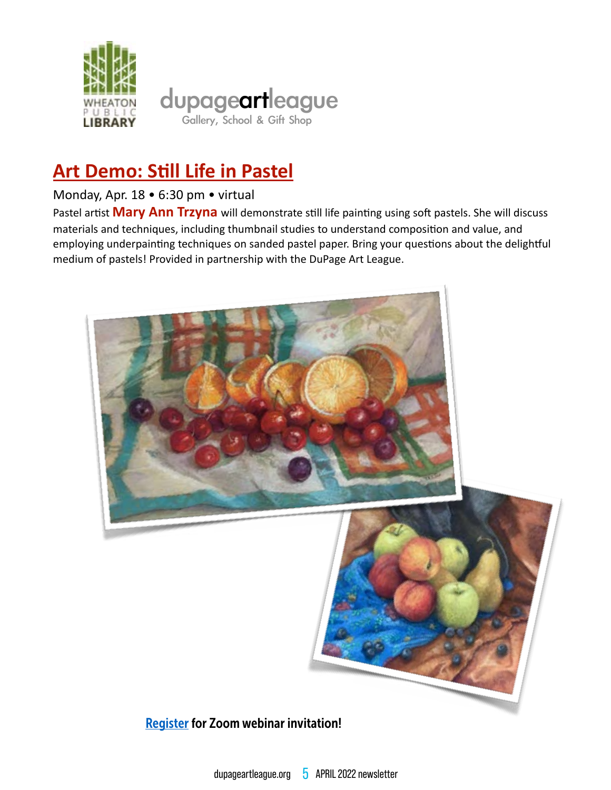

## **Art Demo: Still Life in Pastel**

### Monday, Apr. 18 . 6:30 pm . virtual

Pastel artist Mary Ann Trzyna will demonstrate still life painting using soft pastels. She will discuss materials and techniques, including thumbnail studies to understand composition and value, and employing underpainting techniques on sanded pastel paper. Bring your questions about the delightful medium of pastels! Provided in partnership with the DuPage Art League.



### **Register for Zoom webinar invitation!**